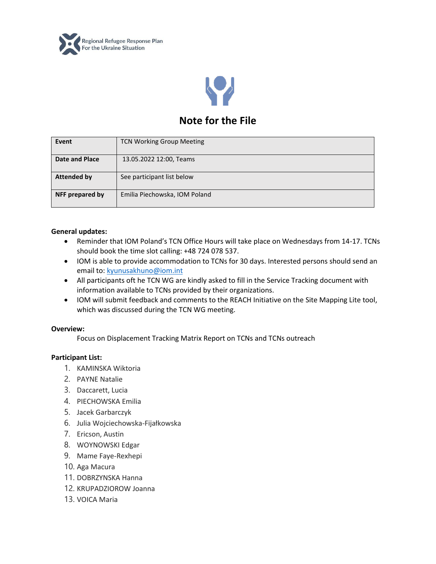



# **Note for the File**

| Event              | <b>TCN Working Group Meeting</b> |
|--------------------|----------------------------------|
| Date and Place     | 13.05.2022 12:00, Teams          |
| <b>Attended by</b> | See participant list below       |
| NFF prepared by    | Emilia Piechowska, IOM Poland    |

## **General updates:**

- Reminder that IOM Poland's TCN Office Hours will take place on Wednesdays from 14-17. TCNs should book the time slot calling: +48 724 078 537.
- IOM is able to provide accommodation to TCNs for 30 days. Interested persons should send an email to: [kyunusakhuno@iom.int](mailto:kyunusakhuno@iom.int)
- All participants oft he TCN WG are kindly asked to fill in the Service Tracking document with information available to TCNs provided by their organizations.
- IOM will submit feedback and comments to the REACH Initiative on the Site Mapping Lite tool, which was discussed during the TCN WG meeting.

## **Overview:**

Focus on Displacement Tracking Matrix Report on TCNs and TCNs outreach

## **Participant List:**

- 1. KAMINSKA Wiktoria
- 2. PAYNE Natalie
- 3. Daccarett, Lucia
- 4. PIECHOWSKA Emilia
- 5. Jacek Garbarczyk
- 6. Julia Wojciechowska-Fijałkowska
- 7. Ericson, Austin
- 8. WOYNOWSKI Edgar
- 9. Mame Faye-Rexhepi
- 10. Aga Macura
- 11. DOBRZYNSKA Hanna
- 12. KRUPADZIOROW Joanna
- 13. VOICA Maria